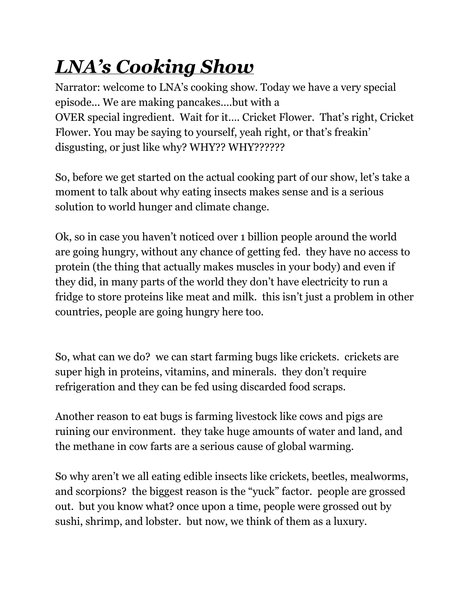## *LNA's Cooking Show*

Narrator: welcome to LNA's cooking show. Today we have a very special episode... We are making pancakes….but with a OVER special ingredient. Wait for it…. Cricket Flower. That's right, Cricket Flower. You may be saying to yourself, yeah right, or that's freakin' disgusting, or just like why? WHY?? WHY??????

So, before we get started on the actual cooking part of our show, let's take a moment to talk about why eating insects makes sense and is a serious solution to world hunger and climate change.

Ok, so in case you haven't noticed over 1 billion people around the world are going hungry, without any chance of getting fed. they have no access to protein (the thing that actually makes muscles in your body) and even if they did, in many parts of the world they don't have electricity to run a fridge to store proteins like meat and milk. this isn't just a problem in other countries, people are going hungry here too.

So, what can we do? we can start farming bugs like crickets. crickets are super high in proteins, vitamins, and minerals. they don't require refrigeration and they can be fed using discarded food scraps.

Another reason to eat bugs is farming livestock like cows and pigs are ruining our environment. they take huge amounts of water and land, and the methane in cow farts are a serious cause of global warming.

So why aren't we all eating edible insects like crickets, beetles, mealworms, and scorpions? the biggest reason is the "yuck" factor. people are grossed out. but you know what? once upon a time, people were grossed out by sushi, shrimp, and lobster. but now, we think of them as a luxury.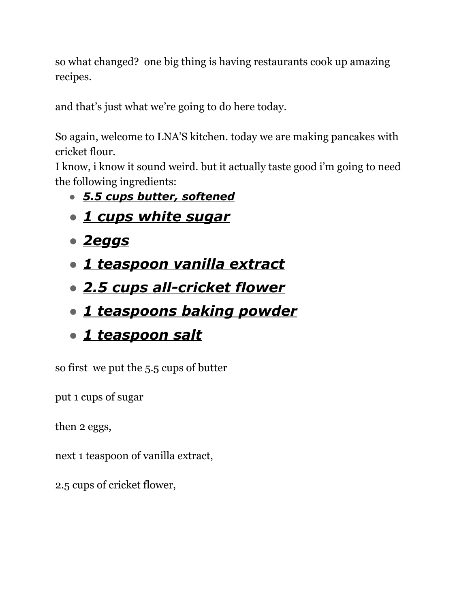so what changed? one big thing is having restaurants cook up amazing recipes.

and that's just what we're going to do here today.

So again, welcome to LNA'S kitchen. today we are making pancakes with cricket flour.

I know, i know it sound weird. but it actually taste good i'm going to need the following ingredients:

- *● 5.5 cups butter, softened*
- *● 1 cups white sugar*
- *● 2eggs*
- *● 1 teaspoon vanilla extract*
- *● 2.5 cups all-cricket flower*
- *● 1 teaspoons baking powder*
- *● 1 teaspoon salt*

so first we put the 5.5 cups of butter

put 1 cups of sugar

then 2 eggs,

next 1 teaspoon of vanilla extract,

2.5 cups of cricket flower,